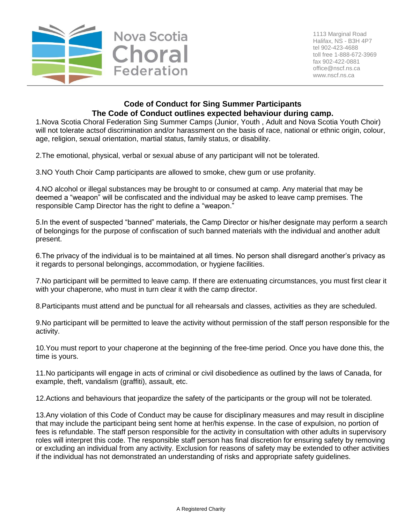

## **Code of Conduct for Sing Summer Participants The Code of Conduct outlines expected behaviour during camp.**

1.Nova Scotia Choral Federation Sing Summer Camps (Junior, Youth , Adult and Nova Scotia Youth Choir) will not tolerate actsof discrimination and/or harassment on the basis of race, national or ethnic origin, colour, age, religion, sexual orientation, martial status, family status, or disability.

2.The emotional, physical, verbal or sexual abuse of any participant will not be tolerated.

3.NO Youth Choir Camp participants are allowed to smoke, chew gum or use profanity.

4.NO alcohol or illegal substances may be brought to or consumed at camp. Any material that may be deemed a "weapon" will be confiscated and the individual may be asked to leave camp premises. The responsible Camp Director has the right to define a "weapon."

5.In the event of suspected "banned" materials, the Camp Director or his/her designate may perform a search of belongings for the purpose of confiscation of such banned materials with the individual and another adult present.

6.The privacy of the individual is to be maintained at all times. No person shall disregard another's privacy as it regards to personal belongings, accommodation, or hygiene facilities.

7.No participant will be permitted to leave camp. If there are extenuating circumstances, you must first clear it with your chaperone, who must in turn clear it with the camp director.

8.Participants must attend and be punctual for all rehearsals and classes, activities as they are scheduled.

9.No participant will be permitted to leave the activity without permission of the staff person responsible for the activity.

10.You must report to your chaperone at the beginning of the free-time period. Once you have done this, the time is yours.

11.No participants will engage in acts of criminal or civil disobedience as outlined by the laws of Canada, for example, theft, vandalism (graffiti), assault, etc.

12.Actions and behaviours that jeopardize the safety of the participants or the group will not be tolerated.

13.Any violation of this Code of Conduct may be cause for disciplinary measures and may result in discipline that may include the participant being sent home at her/his expense. In the case of expulsion, no portion of fees is refundable. The staff person responsible for the activity in consultation with other adults in supervisory roles will interpret this code. The responsible staff person has final discretion for ensuring safety by removing or excluding an individual from any activity. Exclusion for reasons of safety may be extended to other activities if the individual has not demonstrated an understanding of risks and appropriate safety guidelines.